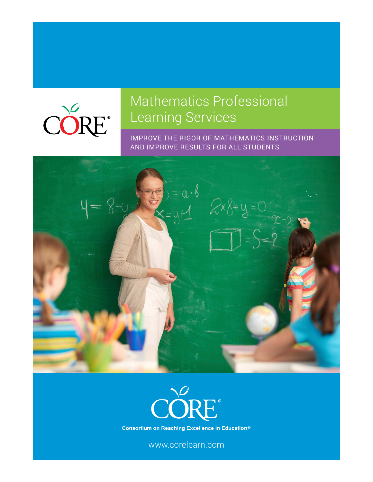

# Mathematics Professional Learning Services

IMPROVE THE RIGOR OF MATHEMATICS INSTRUCTION AND IMPROVE RESULTS FOR ALL STUDENTS





**Consortium on Reaching Excellence in Education®** 

www.corelearn.com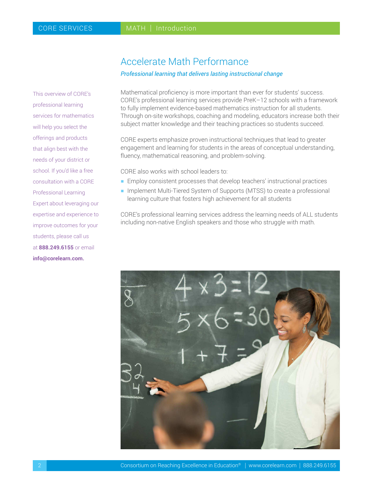This overview of CORE's professional learning services for mathematics will help you select the offerings and products that align best with the needs of your district or school. If you'd like a free consultation with a CORE Professional Learning Expert about leveraging our expertise and experience to improve outcomes for your students, please call us at **888.249.6155** or email **info@corelearn.com.**

## Accelerate Math Performance

### *Professional learning that delivers lasting instructional change*

Mathematical proficiency is more important than ever for students' success. CORE's professional learning services provide PreK–12 schools with a framework to fully implement evidence-based mathematics instruction for all students. Through on-site workshops, coaching and modeling, educators increase both their subject matter knowledge and their teaching practices so students succeed.

CORE experts emphasize proven instructional techniques that lead to greater engagement and learning for students in the areas of conceptual understanding, fluency, mathematical reasoning, and problem-solving.

CORE also works with school leaders to:

- $\blacksquare$  Employ consistent processes that develop teachers' instructional practices
- **Implement Multi-Tiered System of Supports (MTSS) to create a professional** learning culture that fosters high achievement for all students

CORE's professional learning services address the learning needs of ALL students including non-native English speakers and those who struggle with math.

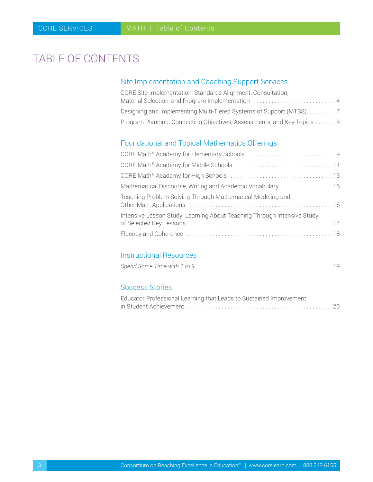# <span id="page-2-0"></span>TABLE OF CONTENTS

## Site Implementation and Coaching Support Services

| CORE Site Implementation, Standards Alignment, Consultation,           |
|------------------------------------------------------------------------|
| Material Selection, and Program Implementation  4                      |
|                                                                        |
| Program Planning: Connecting Objectives, Assessments, and Key Topics 8 |

### Foundational and Topical Mathematics Offerings

| Mathematical Discourse, Writing and Academic Vocabulary  15             |
|-------------------------------------------------------------------------|
| Teaching Problem Solving Through Mathematical Modeling and              |
| Intensive Lesson Study: Learning About Teaching Through Intensive Study |
|                                                                         |

### Instructional Resources

|--|--|--|--|

### Success Stories

| Educator Professional Learning that Leads to Sustained Improvement |  |
|--------------------------------------------------------------------|--|
|                                                                    |  |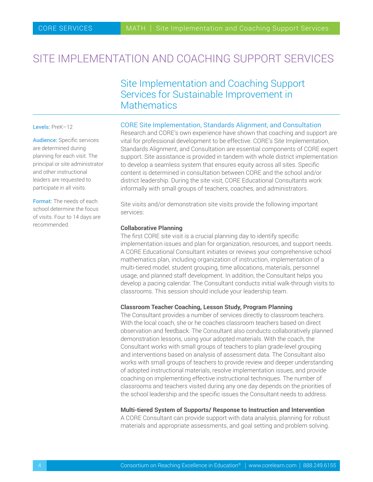# <span id="page-3-0"></span>SITE IMPLEMENTATION AND COACHING SUPPORT SERVICES

# Site Implementation and Coaching Support Services for Sustainable Improvement in **Mathematics**

### Levels: PreK-12

Audience: Specific services are determined during planning for each visit. The principal or site administrator and other instructional leaders are requested to participate in all visits.

Format: The needs of each school determine the focus of visits. Four to 14 days are recommended.

### CORE Site Implementation, Standards Alignment, and Consultation

Research and CORE's own experience have shown that coaching and support are vital for professional development to be effective. CORE's Site Implementation, Standards Alignment, and Consultation are essential components of CORE expert support. Site assistance is provided in tandem with whole district implementation to develop a seamless system that ensures equity across all sites. Specific content is determined in consultation between CORE and the school and/or district leadership. During the site visit, CORE Educational Consultants work informally with small groups of teachers, coaches, and administrators.

Site visits and/or demonstration site visits provide the following important services:

### **Collaborative Planning**

The first CORE site visit is a crucial planning day to identify specific implementation issues and plan for organization, resources, and support needs. A CORE Educational Consultant initiates or reviews your comprehensive school mathematics plan, including organization of instruction, implementation of a multi-tiered model, student grouping, time allocations, materials, personnel usage, and planned staff development. In addition, the Consultant helps you develop a pacing calendar. The Consultant conducts initial walk-through visits to classrooms. This session should include your leadership team.

### **Classroom Teacher Coaching, Lesson Study, Program Planning**

The Consultant provides a number of services directly to classroom teachers. With the local coach, she or he coaches classroom teachers based on direct observation and feedback. The Consultant also conducts collaboratively planned demonstration lessons, using your adopted materials. With the coach, the Consultant works with small groups of teachers to plan grade-level grouping and interventions based on analysis of assessment data. The Consultant also works with small groups of teachers to provide review and deeper understanding of adopted instructional materials, resolve implementation issues, and provide coaching on implementing effective instructional techniques. The number of classrooms and teachers visited during any one day depends on the priorities of the school leadership and the specific issues the Consultant needs to address.

### **Multi-tiered System of Supports/ Response to Instruction and Intervention**

A CORE Consultant can provide support with data analysis, planning for robust materials and appropriate assessments, and goal setting and problem solving.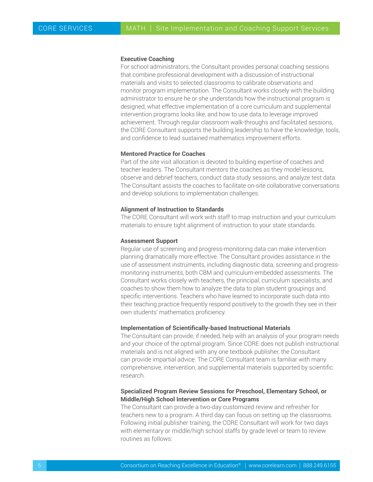#### **Executive Coaching**

For school administrators, the Consultant provides personal coaching sessions that combine professional development with a discussion of instructional materials and visits to selected classrooms to calibrate observations and monitor program implementation. The Consultant works closely with the building administrator to ensure he or she understands how the instructional program is designed, what effective implementation of a core curriculum and supplemental intervention programs looks like, and how to use data to leverage improved achievement. Through regular classroom walk-throughs and facilitated sessions, the CORE Consultant supports the building leadership to have the knowledge, tools, and confidence to lead sustained mathematics improvement efforts.

### **Mentored Practice for Coaches**

Part of the site visit allocation is devoted to building expertise of coaches and teacher leaders. The Consultant mentors the coaches as they model lessons, observe and debrief teachers, conduct data study sessions, and analyze test data. The Consultant assists the coaches to facilitate on-site collaborative conversations and develop solutions to implementation challenges.

### **Alignment of Instruction to Standards**

The CORE Consultant will work with staff to map instruction and your curriculum materials to ensure tight alignment of instruction to your state standards.

### **Assessment Support**

Regular use of screening and progress-monitoring data can make intervention planning dramatically more effective. The Consultant provides assistance in the use of assessment instruments, including diagnostic data, screening and progressmonitoring instruments, both CBM and curriculum-embedded assessments. The Consultant works closely with teachers, the principal, curriculum specialists, and coaches to show them how to analyze the data to plan student groupings and specific interventions. Teachers who have learned to incorporate such data into their teaching practice frequently respond positively to the growth they see in their own students' mathematics proficiency.

### **Implementation of Scientifically-based Instructional Materials**

The Consultant can provide, if needed, help with an analysis of your program needs and your choice of the optimal program. Since CORE does not publish instructional materials and is not aligned with any one textbook publisher, the Consultant can provide impartial advice. The CORE Consultant team is familiar with many comprehensive, intervention, and supplemental materials supported by scientific research.

### **Specialized Program Review Sessions for Preschool, Elementary School, or Middle/High School Intervention or Core Programs**

The Consultant can provide a two-day customized review and refresher for teachers new to a program. A third day can focus on setting up the classrooms. Following initial publisher training, the CORE Consultant will work for two days with elementary or middle/high school staffs by grade level or team to review routines as follows: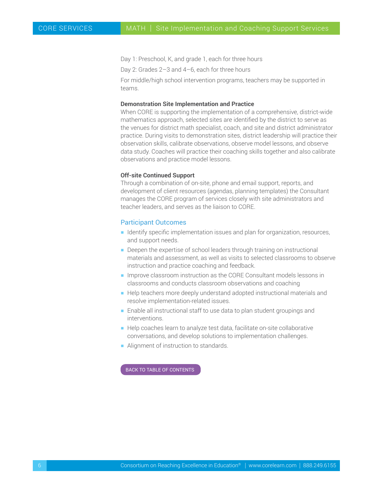Day 1: Preschool, K, and grade 1, each for three hours

Day 2: Grades 2–3 and 4–6, each for three hours

For middle/high school intervention programs, teachers may be supported in teams.

### **Demonstration Site Implementation and Practice**

When CORE is supporting the implementation of a comprehensive, district-wide mathematics approach, selected sites are identified by the district to serve as the venues for district math specialist, coach, and site and district administrator practice. During visits to demonstration sites, district leadership will practice their observation skills, calibrate observations, observe model lessons, and observe data study. Coaches will practice their coaching skills together and also calibrate observations and practice model lessons.

### **Off-site Continued Support**

Through a combination of on-site, phone and email support, reports, and development of client resources (agendas, planning templates) the Consultant manages the CORE program of services closely with site administrators and teacher leaders, and serves as the liaison to CORE.

### Participant Outcomes

- $\blacksquare$  Identify specific implementation issues and plan for organization, resources, and support needs.
- $\blacksquare$  Deepen the expertise of school leaders through training on instructional materials and assessment, as well as visits to selected classrooms to observe instruction and practice coaching and feedback.
- **Improve classroom instruction as the CORE Consultant models lessons in** classrooms and conducts classroom observations and coaching
- Help teachers more deeply understand adopted instructional materials and resolve implementation-related issues.
- $\blacksquare$  Enable all instructional staff to use data to plan student groupings and interventions.
- Help coaches learn to analyze test data, facilitate on-site collaborative conversations, and develop solutions to implementation challenges.
- **-** Alignment of instruction to standards.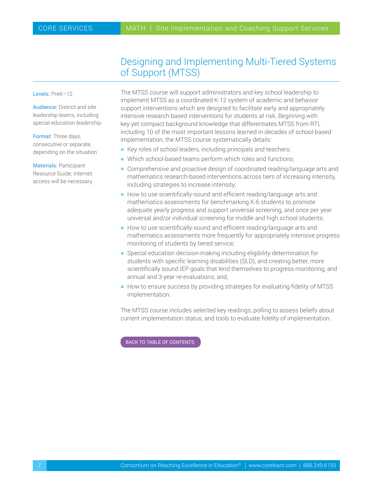# Designing and Implementing Multi-Tiered Systems of Support (MTSS)

<span id="page-6-0"></span>Levels: PreK-12

Audience: District and site leadership teams, including special education leadership

Format: Three days, consecutive or separate, depending on the situation

Materials: Participant Resource Guide; Internet access will be necessary The MTSS course will support administrators and key school leadership to implement MTSS as a coordinated K-12 system of academic and behavior support interventions which are designed to facilitate early and appropriately intensive research-based interventions for students at risk. Beginning with key yet compact background knowledge that differentiates MTSS from RTI, including 10 of the most important lessons learned in decades of school-based implementation, the MTSS course systematically details:

- Key roles of school leaders, including principals and teachers;
- $\blacksquare$  Which school-based teams perform which roles and functions;
- **Comprehensive and proactive design of coordinated reading/language arts and** mathematics research-based interventions across tiers of increasing intensity, including strategies to increase intensity;
- How to use scientifically-sound and efficient reading/language arts and mathematics assessments for benchmarking K-6 students to promote adequate yearly progress and support universal screening, and once per year universal and/or individual screening for middle and high school students;
- $\blacksquare$  How to use scientifically-sound and efficient reading/language arts and mathematics assessments more frequently for appropriately intensive progress monitoring of students by tiered service;
- **Special education decision-making including eligibility determination for** students with specific learning disabilities (SLD), and creating better, more scientifically sound IEP goals that lend themselves to progress monitoring, and annual and 3-year re-evaluations; and,
- How to ensure success by providing strategies for evaluating fidelity of MTSS implementation.

The MTSS course includes selected key readings, polling to assess beliefs about current implementation status, and tools to evaluate fidelity of implementation.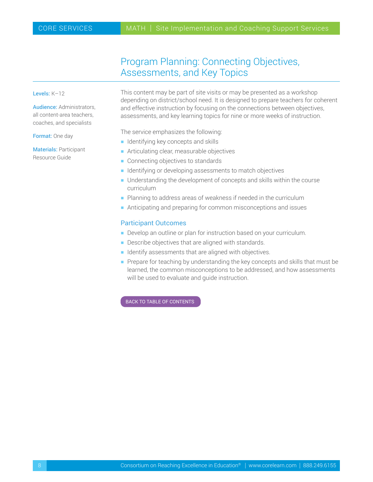# Program Planning: Connecting Objectives, Assessments, and Key Topics

### <span id="page-7-0"></span>Levels: K–12

Audience: Administrators, all content-area teachers, coaches, and specialists

Format: One day

Materials: Participant Resource Guide

This content may be part of site visits or may be presented as a workshop depending on district/school need. It is designed to prepare teachers for coherent and effective instruction by focusing on the connections between objectives, assessments, and key learning topics for nine or more weeks of instruction.

The service emphasizes the following:

- $\blacksquare$  Identifying key concepts and skills
- $\blacksquare$  Articulating clear, measurable objectives
- $\blacksquare$  Connecting objectives to standards
- $\blacksquare$  Identifying or developing assessments to match objectives
- $\blacksquare$  Understanding the development of concepts and skills within the course curriculum
- $\blacksquare$  Planning to address areas of weakness if needed in the curriculum
- $\blacksquare$  Anticipating and preparing for common misconceptions and issues

### Participant Outcomes

- Develop an outline or plan for instruction based on your curriculum.
- $\blacksquare$  Describe objectives that are aligned with standards.
- $\blacksquare$  Identify assessments that are aligned with objectives.
- $\blacksquare$  Prepare for teaching by understanding the key concepts and skills that must be learned, the common misconceptions to be addressed, and how assessments will be used to evaluate and guide instruction.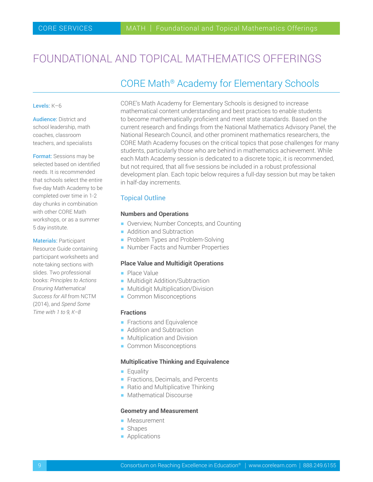# <span id="page-8-0"></span>FOUNDATIONAL AND TOPICAL MATHEMATICS OFFERINGS

## CORE Math® Academy for Elementary Schools

#### Levels: K–6

Audience: District and school leadership, math coaches, classroom teachers, and specialists

Format: Sessions may be selected based on identified needs. It is recommended that schools select the entire five-day Math Academy to be completed over time in 1-2 day chunks in combination with other CORE Math workshops, or as a summer 5 day institute.

Materials: Participant Resource Guide containing participant worksheets and note-taking sections with slides. Two professional books: *Principles to Actions Ensuring Mathematical Success for All* from NCTM

(2014), and *Spend Some Time with 1 to 9, K–8*

CORE's Math Academy for Elementary Schools is designed to increase mathematical content understanding and best practices to enable students to become mathematically proficient and meet state standards. Based on the current research and findings from the National Mathematics Advisory Panel, the National Research Council, and other prominent mathematics researchers, the CORE Math Academy focuses on the critical topics that pose challenges for many students, particularly those who are behind in mathematics achievement. While each Math Academy session is dedicated to a discrete topic, it is recommended, but not required, that all five sessions be included in a robust professional development plan. Each topic below requires a full-day session but may be taken in half-day increments.

### Topical Outline

### **Numbers and Operations**

- **Overview, Number Concepts, and Counting**
- **Addition and Subtraction**
- Problem Types and Problem-Solving
- Number Facts and Number Properties

#### **Place Value and Multidigit Operations**

- **Place Value**
- **Multidigit Addition/Subtraction**
- **Multidigit Multiplication/Division**
- **Common Misconceptions**

### **Fractions**

- $\blacksquare$  Fractions and Equivalence
- **Addition and Subtraction**
- $\blacksquare$  Multiplication and Division
- **Common Misconceptions**

### **Multiplicative Thinking and Equivalence**

- **Equality**
- **Filter** Fractions, Decimals, and Percents
- $\blacksquare$  Ratio and Multiplicative Thinking
- Mathematical Discourse

### **Geometry and Measurement**

- **Measurement**
- **Shapes**
- **•** Applications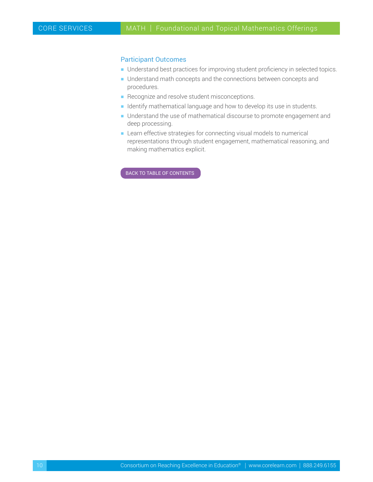### Participant Outcomes

- **H** Understand best practices for improving student proficiency in selected topics.
- **H** Understand math concepts and the connections between concepts and procedures.
- $\blacksquare$  Recognize and resolve student misconceptions.
- **H** Identify mathematical language and how to develop its use in students.
- **Understand the use of mathematical discourse to promote engagement and** deep processing.
- **EXECT** Learn effective strategies for connecting visual models to numerical representations through student engagement, mathematical reasoning, and making mathematics explicit.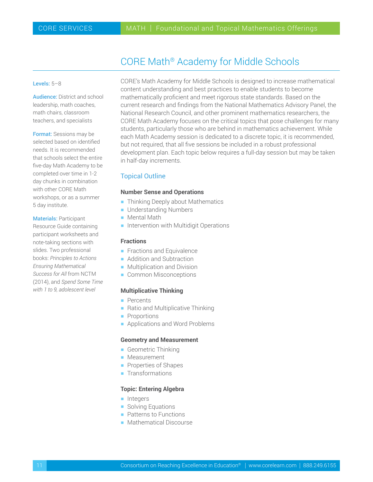# CORE Math® Academy for Middle Schools

### <span id="page-10-0"></span>Levels: 5–8

Audience: District and school leadership, math coaches, math chairs, classroom teachers, and specialists

Format: Sessions may be selected based on identified needs. It is recommended that schools select the entire five-day Math Academy to be completed over time in 1-2 day chunks in combination with other CORE Math workshops, or as a summer 5 day institute.

### Materials: Participant

Resource Guide containing participant worksheets and note-taking sections with slides. Two professional books: *Principles to Actions Ensuring Mathematical Success for All* from NCTM (2014), and *Spend Some Time with 1 to 9, adolescent level*

CORE's Math Academy for Middle Schools is designed to increase mathematical content understanding and best practices to enable students to become mathematically proficient and meet rigorous state standards. Based on the current research and findings from the National Mathematics Advisory Panel, the National Research Council, and other prominent mathematics researchers, the CORE Math Academy focuses on the critical topics that pose challenges for many students, particularly those who are behind in mathematics achievement. While each Math Academy session is dedicated to a discrete topic, it is recommended, but not required, that all five sessions be included in a robust professional development plan. Each topic below requires a full-day session but may be taken in half-day increments.

### Topical Outline

### **Number Sense and Operations**

- **Thinking Deeply about Mathematics**
- **-** Understanding Numbers
- **Mental Math**
- $\blacksquare$  Intervention with Multidigit Operations

### **Fractions**

- $\blacksquare$  Fractions and Equivalence
- **Addition and Subtraction**
- $\blacksquare$  Multiplication and Division
- **Common Misconceptions**

### **Multiplicative Thinking**

- **•** Percents
- $\blacksquare$  Ratio and Multiplicative Thinking
- **•** Proportions
- **Applications and Word Problems**

#### **Geometry and Measurement**

- **Geometric Thinking**
- **Measurement**
- $\blacksquare$  Properties of Shapes
- $\blacksquare$  Transformations

### **Topic: Entering Algebra**

- **h** Integers
- **Solving Equations**
- $\blacksquare$  Patterns to Functions
- Mathematical Discourse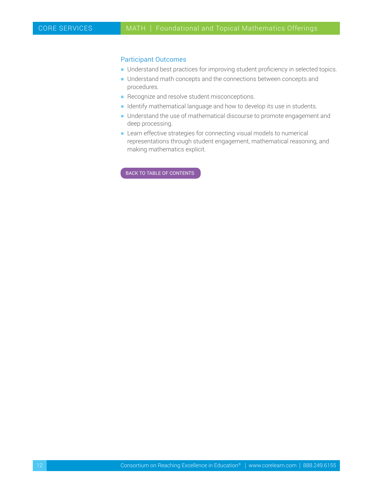### Participant Outcomes

- **H** Understand best practices for improving student proficiency in selected topics.
- **H** Understand math concepts and the connections between concepts and procedures.
- $\blacksquare$  Recognize and resolve student misconceptions.
- **H** Identify mathematical language and how to develop its use in students.
- **Understand the use of mathematical discourse to promote engagement and** deep processing.
- **EXECT** Learn effective strategies for connecting visual models to numerical representations through student engagement, mathematical reasoning, and making mathematics explicit.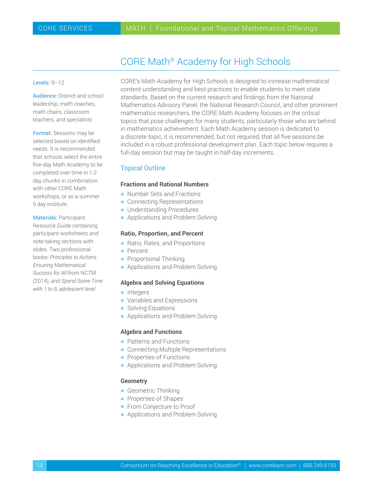# CORE Math® Academy for High Schools

### <span id="page-12-0"></span>Levels: 9-12

Audience: District and school leadership, math coaches, math chairs, classroom teachers, and specialists

Format: Sessions may be selected based on identified needs. It is recommended that schools select the entire five-day Math Academy to be completed over time in 1-2 day chunks in combination with other CORE Math workshops, or as a summer 5 day institute.

### Materials: Participant

Resource Guide containing participant worksheets and note-taking sections with slides. Two professional books: *Principles to Actions Ensuring Mathematical Success for All* from NCTM (2014), and *Spend Some Time with 1 to 9, adolescent level*

CORE's Math Academy for High Schools is designed to increase mathematical content understanding and best practices to enable students to meet state standards. Based on the current research and findings from the National Mathematics Advisory Panel, the National Research Council, and other prominent mathematics researchers, the CORE Math Academy focuses on the critical topics that pose challenges for many students, particularly those who are behind in mathematics achievement. Each Math Academy session is dedicated to a discrete topic, it is recommended, but not required, that all five sessions be included in a robust professional development plan. Each topic below requires a full-day session but may be taught in half-day increments.

### Topical Outline

### **Fractions and Rational Numbers**

- Number Sets and Fractions
- $\blacksquare$  Connecting Representations
- **H** Understanding Procedures
- **Applications and Problem Solving**

### **Ratio, Proportion, and Percent**

- Ratio, Rates, and Proportions
- **•** Percent
- $\blacksquare$  Proportional Thinking
- $\blacksquare$  Applications and Problem Solving

### **Algebra and Solving Equations**

- **h** Integers
- $\blacksquare$  Variables and Expressions
- **Solving Equations**
- Applications and Problem Solving

### **Algebra and Functions**

- Patterns and Functions
- Connecting Multiple Representations
- **Properties of Functions**
- Applications and Problem Solving

### **Geometry**

- $\blacksquare$  Geometric Thinking
- **Properties of Shapes**
- **From Conjecture to Proof**
- Applications and Problem Solving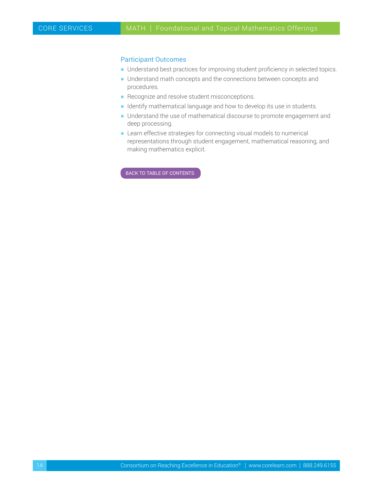### Participant Outcomes

- **H** Understand best practices for improving student proficiency in selected topics.
- **H** Understand math concepts and the connections between concepts and procedures.
- $\blacksquare$  Recognize and resolve student misconceptions.
- **H** Identify mathematical language and how to develop its use in students.
- **Understand the use of mathematical discourse to promote engagement and** deep processing.
- **EXECT** Learn effective strategies for connecting visual models to numerical representations through student engagement, mathematical reasoning, and making mathematics explicit.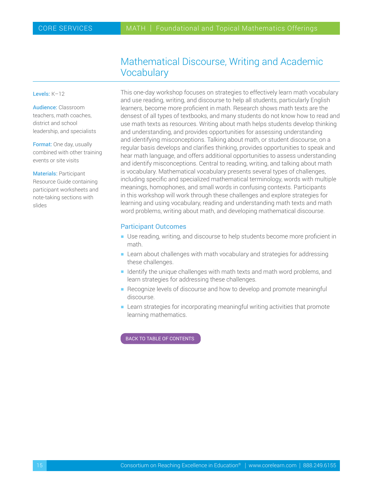## Mathematical Discourse, Writing and Academic **Vocabulary**

### <span id="page-14-0"></span>Levels: K–12

Audience: Classroom teachers, math coaches, district and school leadership, and specialists

Format: One day, usually combined with other training events or site visits

Materials: Participant Resource Guide containing participant worksheets and note-taking sections with slides

This one-day workshop focuses on strategies to effectively learn math vocabulary and use reading, writing, and discourse to help all students, particularly English learners, become more proficient in math. Research shows math texts are the densest of all types of textbooks, and many students do not know how to read and use math texts as resources. Writing about math helps students develop thinking and understanding, and provides opportunities for assessing understanding and identifying misconceptions. Talking about math, or student discourse, on a regular basis develops and clarifies thinking, provides opportunities to speak and hear math language, and offers additional opportunities to assess understanding and identify misconceptions. Central to reading, writing, and talking about math is vocabulary. Mathematical vocabulary presents several types of challenges, including specific and specialized mathematical terminology, words with multiple meanings, homophones, and small words in confusing contexts. Participants in this workshop will work through these challenges and explore strategies for learning and using vocabulary, reading and understanding math texts and math word problems, writing about math, and developing mathematical discourse.

### Participant Outcomes

- Use reading, writing, and discourse to help students become more proficient in math.
- $\blacksquare$  Learn about challenges with math vocabulary and strategies for addressing these challenges.
- $\blacksquare$  Identify the unique challenges with math texts and math word problems, and learn strategies for addressing these challenges.
- $\blacksquare$  Recognize levels of discourse and how to develop and promote meaningful discourse.
- $\blacksquare$  Learn strategies for incorporating meaningful writing activities that promote learning mathematics.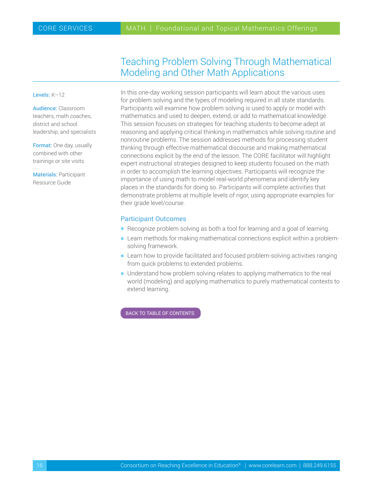# Teaching Problem Solving Through Mathematical Modeling and Other Math Applications

<span id="page-15-0"></span>Levels: K–12

Audience: Classroom teachers, math coaches, district and school leadership, and specialists

Format: One day, usually combined with other trainings or site visits

Materials: Participant Resource Guide

In this one-day working session participants will learn about the various uses for problem solving and the types of modeling required in all state standards. Participants will examine how problem solving is used to apply or model with mathematics and used to deepen, extend, or add to mathematical knowledge. This session focuses on strategies for teaching students to become adept at reasoning and applying critical thinking in mathematics while solving routine and nonroutine problems. The session addresses methods for processing student thinking through effective mathematical discourse and making mathematical connections explicit by the end of the lesson. The CORE facilitator will highlight expert instructional strategies designed to keep students focused on the math in order to accomplish the learning objectives. Participants will recognize the importance of using math to model real-world phenomena and identify key places in the standards for doing so. Participants will complete activities that demonstrate problems at multiple levels of rigor, using appropriate examples for their grade level/course.

### Participant Outcomes

- Recognize problem solving as both a tool for learning and a goal of learning.
- **-** Learn methods for making mathematical connections explicit within a problemsolving framework.
- **EXECT** Learn how to provide facilitated and focused problem-solving activities ranging from quick problems to extended problems.
- Understand how problem solving relates to applying mathematics to the real world (modeling) and applying mathematics to purely mathematical contexts to extend learning.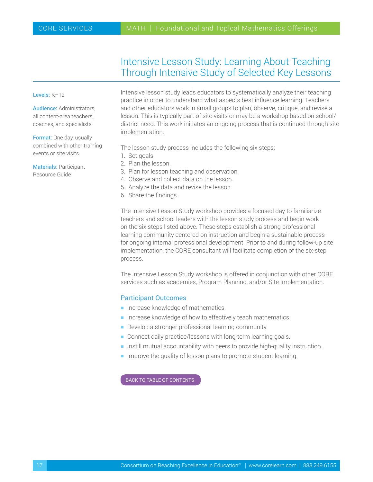# Intensive Lesson Study: Learning About Teaching Through Intensive Study of Selected Key Lessons

#### <span id="page-16-0"></span>Levels: K-12

Audience: Administrators, all content-area teachers, coaches, and specialists

Format: One day, usually combined with other training events or site visits

Materials: Participant Resource Guide

Intensive lesson study leads educators to systematically analyze their teaching practice in order to understand what aspects best influence learning. Teachers and other educators work in small groups to plan, observe, critique, and revise a lesson. This is typically part of site visits or may be a workshop based on school/ district need. This work initiates an ongoing process that is continued through site implementation.

The lesson study process includes the following six steps:

- 1. Set goals.
- 2. Plan the lesson.
- 3. Plan for lesson teaching and observation.
- 4. Observe and collect data on the lesson.
- 5. Analyze the data and revise the lesson.
- 6. Share the findings.

The Intensive Lesson Study workshop provides a focused day to familiarize teachers and school leaders with the lesson study process and begin work on the six steps listed above. These steps establish a strong professional learning community centered on instruction and begin a sustainable process for ongoing internal professional development. Prior to and during follow-up site implementation, the CORE consultant will facilitate completion of the six-step process.

The Intensive Lesson Study workshop is offered in conjunction with other CORE services such as academies, Program Planning, and/or Site Implementation.

### Participant Outcomes

- **h** Increase knowledge of mathematics.
- $\blacksquare$  Increase knowledge of how to effectively teach mathematics.
- $\blacksquare$  Develop a stronger professional learning community.
- **Connect daily practice/lessons with long-term learning goals.**
- $\blacksquare$  Instill mutual accountability with peers to provide high-quality instruction.
- $\blacksquare$  Improve the quality of lesson plans to promote student learning.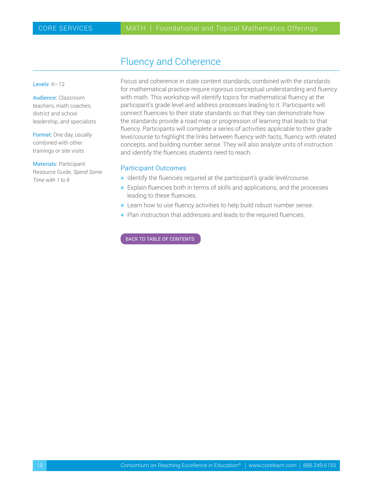# Fluency and Coherence

<span id="page-17-0"></span>Levels: K–12

Audience: Classroom teachers, math coaches, district and school leadership, and specialists

Format: One day, usually combined with other trainings or site visits

Materials: Participant Resource Guide, *Spend Some Time with 1 to 9*

Focus and coherence in state content standards, combined with the standards for mathematical practice require rigorous conceptual understanding and fluency with math. This workshop will identify topics for mathematical fluency at the participant's grade level and address processes leading to it. Participants will connect fluencies to their state standards so that they can demonstrate how the standards provide a road map or progression of learning that leads to that fluency. Participants will complete a series of activities applicable to their grade level/course to highlight the links between fluency with facts, fluency with related concepts, and building number sense. They will also analyze units of instruction and identify the fluencies students need to reach.

### Participant Outcomes

- Identify the fluencies required at the participant's grade level/course.
- $\blacksquare$  Explain fluencies both in terms of skills and applications, and the processes leading to these fluencies.
- **EXEC** Learn how to use fluency activities to help build robust number sense.
- $\blacksquare$  Plan instruction that addresses and leads to the required fluencies.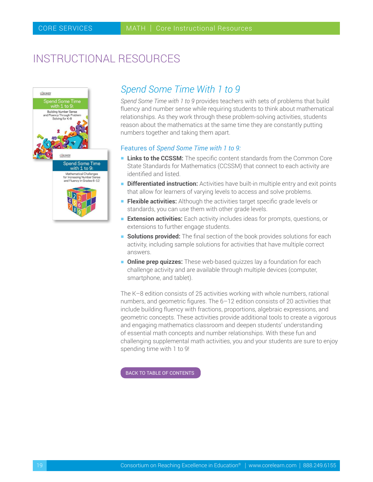# <span id="page-18-0"></span>INSTRUCTIONAL RESOURCES



## *Spend Some Time With 1 to 9*

*Spend Some Time with 1 to 9* provides teachers with sets of problems that build fluency and number sense while requiring students to think about mathematical relationships. As they work through these problem-solving activities, students reason about the mathematics at the same time they are constantly putting numbers together and taking them apart.

### Features of *Spend Some Time with 1 to 9:*

- **Links to the CCSSM:** The specific content standards from the Common Core State Standards for Mathematics (CCSSM) that connect to each activity are identified and listed.
- **Differentiated instruction:** Activities have built-in multiple entry and exit points that allow for learners of varying levels to access and solve problems.
- **Flexible activities:** Although the activities target specific grade levels or standards, you can use them with other grade levels.
- **Extension activities:** Each activity includes ideas for prompts, questions, or extensions to further engage students.
- **Solutions provided:** The final section of the book provides solutions for each activity, including sample solutions for activities that have multiple correct answers.
- **n Online prep quizzes:** These web-based quizzes lay a foundation for each challenge activity and are available through multiple devices (computer, smartphone, and tablet).

The K–8 edition consists of 25 activities working with whole numbers, rational numbers, and geometric figures. The 6–12 edition consists of 20 activities that include building fluency with fractions, proportions, algebraic expressions, and geometric concepts. These activities provide additional tools to create a vigorous and engaging mathematics classroom and deepen students' understanding of essential math concepts and number relationships. With these fun and challenging supplemental math activities, you and your students are sure to enjoy spending time with 1 to 9!